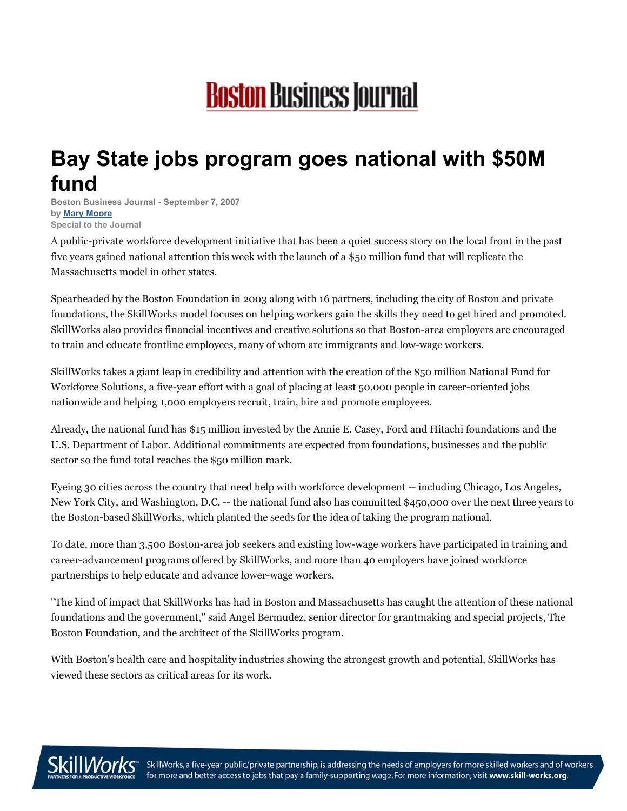## **Boston Business Journal**

## **Bay State jobs program goes national with \$50M fund**

**Boston Business Journal - September 7, 2007 by Mary [Moore](http://www.bizjournals.com/search/results.html?Ntt=%22Mary%20Moore%22&Ntk=All&Ntx=mode%20matchallpartial) Special to the Journal**

A public-private workforce development initiative that has been a quiet success story on the local front in the past five years gained national attention this week with the launch of a \$50 million fund that will replicate the Massachusetts model in other states.

Spearheaded by the Boston Foundation in 2003 along with 16 partners, including the city of Boston and private foundations, the SkillWorks model focuses on helping workers gain the skills they need to get hired and promoted. SkillWorks also provides financial incentives and creative solutions so that Boston-area employers are encouraged to train and educate frontline employees, many of whom are immigrants and low-wage workers.

SkillWorks takes a giant leap in credibility and attention with the creation of the \$50 million National Fund for Workforce Solutions, a five-year effort with a goal of placing at least 50,000 people in career-oriented jobs nationwide and helping 1,000 employers recruit, train, hire and promote employees.

Already, the national fund has \$15 million invested by the Annie E. Casey, Ford and Hitachi foundations and the U.S. Department of Labor. Additional commitments are expected from foundations, businesses and the public sector so the fund total reaches the \$50 million mark.

Eyeing 30 cities across the country that need help with workforce development -- including Chicago, Los Angeles, New York City, and Washington, D.C. -- the national fund also has committed \$450,000 over the next three years to the Boston-based SkillWorks, which planted the seeds for the idea of taking the program national.

To date, more than 3,500 Boston-area job seekers and existing low-wage workers have participated in training and career-advancement programs offered by SkillWorks, and more than 40 employers have joined workforce partnerships to help educate and advance lower-wage workers.

"The kind of impact that SkillWorks has had in Boston and Massachusetts has caught the attention of these national foundations and the government," said Angel Bermudez, senior director for grantmaking and special projects, The Boston Foundation, and the architect of the SkillWorks program.

With Boston's health care and hospitality industries showing the strongest growth and potential, SkillWorks has viewed these sectors as critical areas for its work.



SkillWorks, a five-year public/private partnership, is addressing the needs of employers for more skilled workers and of workers for more and better access to jobs that pay a family-supporting wage. For more information, visit www.skill-works.org.